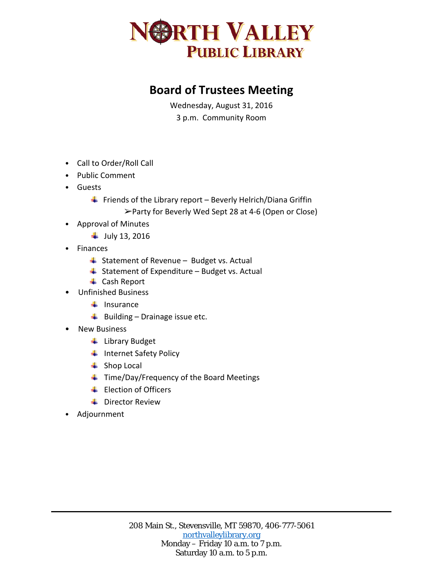

## **Board of Trustees Meeting**

Wednesday, August 31, 2016 3 p.m. Community Room

- Call to Order/Roll Call
- Public Comment
- Guests
	- Friends of the Library report Beverly Helrich/Diana Griffin

➢Party for Beverly Wed Sept 28 at 4-6 (Open or Close)

- Approval of Minutes
	- $+$  July 13, 2016
- Finances
	- $\ddot{ }$  Statement of Revenue Budget vs. Actual
	- $\overline{\phantom{a}}$  Statement of Expenditure Budget vs. Actual
	- **↓** Cash Report
- Unfinished Business
	- $\ddot{\bullet}$  Insurance
	- $\overline{\phantom{a}}$  Building Drainage issue etc.
- New Business
	- **↓** Library Budget
	- $\ddot{\phantom{1}}$  Internet Safety Policy
	- $\leftarrow$  Shop Local
	- ↓ Time/Day/Frequency of the Board Meetings
	- Election of Officers
	- **↓** Director Review
- Adjournment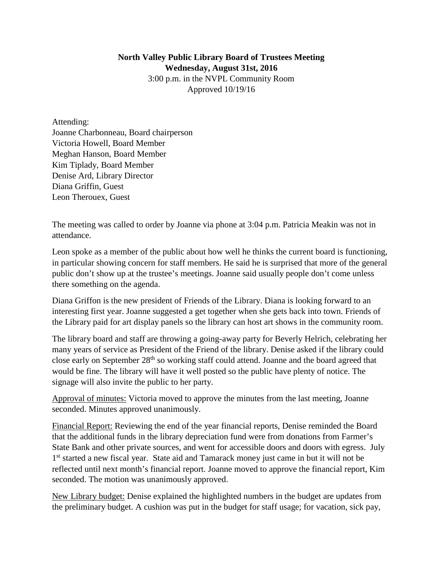## **North Valley Public Library Board of Trustees Meeting Wednesday, August 31st, 2016** 3:00 p.m. in the NVPL Community Room Approved 10/19/16

Attending:

Joanne Charbonneau, Board chairperson Victoria Howell, Board Member Meghan Hanson, Board Member Kim Tiplady, Board Member Denise Ard, Library Director Diana Griffin, Guest Leon Therouex, Guest

The meeting was called to order by Joanne via phone at 3:04 p.m. Patricia Meakin was not in attendance.

Leon spoke as a member of the public about how well he thinks the current board is functioning, in particular showing concern for staff members. He said he is surprised that more of the general public don't show up at the trustee's meetings. Joanne said usually people don't come unless there something on the agenda.

Diana Griffon is the new president of Friends of the Library. Diana is looking forward to an interesting first year. Joanne suggested a get together when she gets back into town. Friends of the Library paid for art display panels so the library can host art shows in the community room.

The library board and staff are throwing a going-away party for Beverly Helrich, celebrating her many years of service as President of the Friend of the library. Denise asked if the library could close early on September 28<sup>th</sup> so working staff could attend. Joanne and the board agreed that would be fine. The library will have it well posted so the public have plenty of notice. The signage will also invite the public to her party.

Approval of minutes: Victoria moved to approve the minutes from the last meeting, Joanne seconded. Minutes approved unanimously.

Financial Report: Reviewing the end of the year financial reports, Denise reminded the Board that the additional funds in the library depreciation fund were from donations from Farmer's State Bank and other private sources, and went for accessible doors and doors with egress. July 1st started a new fiscal year. State aid and Tamarack money just came in but it will not be reflected until next month's financial report. Joanne moved to approve the financial report, Kim seconded. The motion was unanimously approved.

New Library budget: Denise explained the highlighted numbers in the budget are updates from the preliminary budget. A cushion was put in the budget for staff usage; for vacation, sick pay,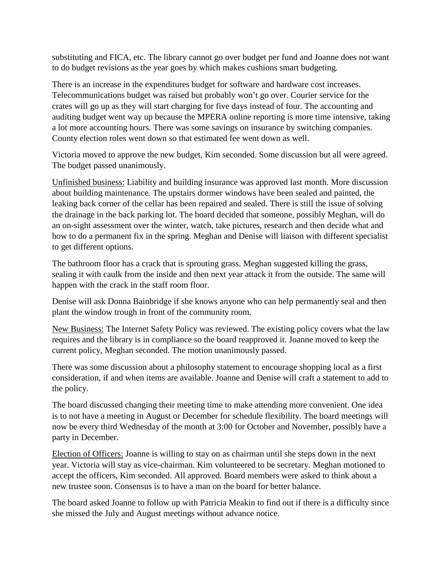substituting and FICA, etc. The library cannot go over budget per fund and Joanne does not want to do budget revisions as the year goes by which makes cushions smart budgeting.

There is an increase in the expenditures budget for software and hardware cost increases. Telecommunications budget was raised but probably won't go over. Courier service for the crates will go up as they will start charging for five days instead of four. The accounting and auditing budget went way up because the MPERA online reporting is more time intensive, taking a lot more accounting hours. There was some savings on insurance by switching companies. County election roles went down so that estimated fee went down as well.

Victoria moved to approve the new budget, Kim seconded. Some discussion but all were agreed. The budget passed unanimously.

Unfinished business: Liability and building insurance was approved last month. More discussion about building maintenance. The upstairs dormer windows have been sealed and painted, the leaking back corner of the cellar has been repaired and sealed. There is still the issue of solving the drainage in the back parking lot. The board decided that someone, possibly Meghan, will do an on-sight assessment over the winter, watch, take pictures, research and then decide what and how to do a permanent fix in the spring. Meghan and Denise will liaison with different specialist to get different options.

The bathroom floor has a crack that is sprouting grass. Meghan suggested killing the grass, sealing it with caulk from the inside and then next year attack it from the outside. The same will happen with the crack in the staff room floor.

Denise will ask Donna Bainbridge if she knows anyone who can help permanently seal and then plant the window trough in front of the community room.

New Business: The Internet Safety Policy was reviewed. The existing policy covers what the law requires and the library is in compliance so the board reapproved it. Joanne moved to keep the current policy, Meghan seconded. The motion unanimously passed.

There was some discussion about a philosophy statement to encourage shopping local as a first consideration, if and when items are available. Joanne and Denise will craft a statement to add to the policy.

The board discussed changing their meeting time to make attending more convenient. One idea is to not have a meeting in August or December for schedule flexibility. The board meetings will now be every third Wednesday of the month at 3:00 for October and November, possibly have a party in December.

Election of Officers: Joanne is willing to stay on as chairman until she steps down in the next year. Victoria will stay as vice-chairman. Kim volunteered to be secretary. Meghan motioned to accept the officers, Kim seconded. All approved. Board members were asked to think about a new trustee soon. Consensus is to have a man on the board for better balance.

The board asked Joanne to follow up with Patricia Meakin to find out if there is a difficulty since she missed the July and August meetings without advance notice.